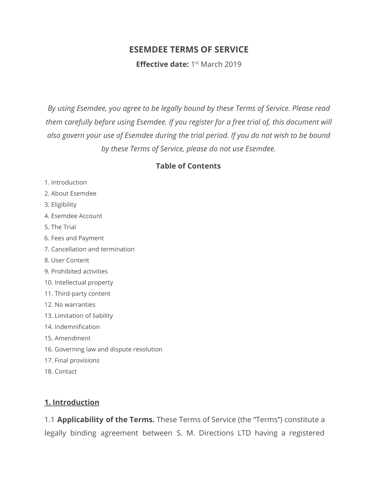# **ESEMDEE TERMS OF SERVICE**

**Effective date:** 1<sup>st</sup> March 2019

*By using Esemdee, you agree to be legally bound by these Terms of Service. Please read them carefully before using Esemdee. If you register for a free trial of, this document will also govern your use of Esemdee during the trial period. If you do not wish to be bound by these Terms of Service, please do not use Esemdee.*

## **Table of Contents**

- 1. Introduction
- 2. About Esemdee
- 3. Eligibility
- 4. Esemdee Account
- 5. The Trial
- 6. Fees and Payment
- 7. Cancellation and termination
- 8. User Content
- 9. Prohibited activities
- 10. Intellectual property
- 11. Third-party content
- 12. No warranties
- 13. Limitation of liability
- 14. Indemnification
- 15. Amendment
- 16. Governing law and dispute resolution
- 17. Final provisions
- 18. Contact

#### **1. Introduction**

1.1 **Applicability of the Terms.** These Terms of Service (the "Terms") constitute a legally binding agreement between S. M. Directions LTD having a registered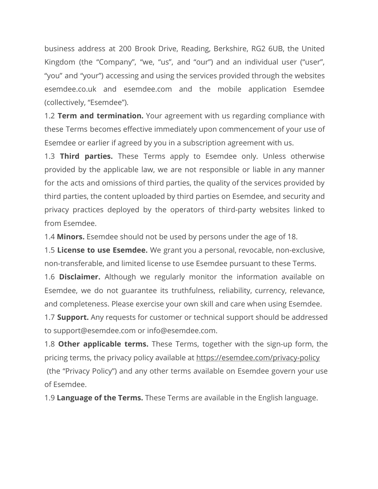business address at 200 Brook Drive, Reading, Berkshire, RG2 6UB, the United Kingdom (the "Company", "we, "us", and "our") and an individual user ("user", "you" and "your") accessing and using the services provided through the websites esemdee.co.uk and esemdee.com and the mobile application Esemdee (collectively, "Esemdee").

1.2 **Term and termination.** Your agreement with us regarding compliance with these Terms becomes effective immediately upon commencement of your use of Esemdee or earlier if agreed by you in a subscription agreement with us.

1.3 **Third parties.** These Terms apply to Esemdee only. Unless otherwise provided by the applicable law, we are not responsible or liable in any manner for the acts and omissions of third parties, the quality of the services provided by third parties, the content uploaded by third parties on Esemdee, and security and privacy practices deployed by the operators of third-party websites linked to from Esemdee.

1.4 **Minors.** Esemdee should not be used by persons under the age of 18.

1.5 **License to use Esemdee.** We grant you a personal, revocable, non-exclusive, non-transferable, and limited license to use Esemdee pursuant to these Terms.

1.6 **Disclaimer.** Although we regularly monitor the information available on Esemdee, we do not guarantee its truthfulness, reliability, currency, relevance, and completeness. Please exercise your own skill and care when using Esemdee.

1.7 **Support.** Any requests for customer or technical support should be addressed to support@esemdee.com or info@esemdee.com.

1.8 **Other applicable terms.** These Terms, together with the sign-up form, the pricing terms, the privacy policy available at <https://esemdee.com/privacy-policy> (the "Privacy Policy") and any other terms available on Esemdee govern your use of Esemdee.

1.9 **Language of the Terms.** These Terms are available in the English language.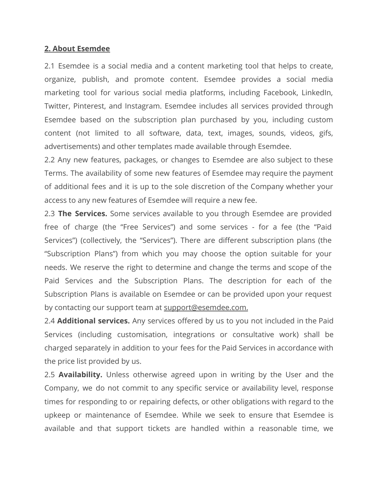#### **2. About Esemdee**

2.1 Esemdee is a social media and a content marketing tool that helps to create, organize, publish, and promote content. Esemdee provides a social media marketing tool for various social media platforms, including Facebook, LinkedIn, Twitter, Pinterest, and Instagram. Esemdee includes all services provided through Esemdee based on the subscription plan purchased by you, including custom content (not limited to all software, data, text, images, sounds, videos, gifs, advertisements) and other templates made available through Esemdee.

2.2 Any new features, packages, or changes to Esemdee are also subject to these Terms. The availability of some new features of Esemdee may require the payment of additional fees and it is up to the sole discretion of the Company whether your access to any new features of Esemdee will require a new fee.

2.3 **The Services.** Some services available to you through Esemdee are provided free of charge (the "Free Services") and some services - for a fee (the "Paid Services") (collectively, the "Services"). There are different subscription plans (the "Subscription Plans") from which you may choose the option suitable for your needs. We reserve the right to determine and change the terms and scope of the Paid Services and the Subscription Plans. The description for each of the Subscription Plans is available on Esemdee or can be provided upon your request by contacting our support team at [support@esemdee.com](mailto:support@esemdee.com).

2.4 **Additional services.** Any services offered by us to you not included in the Paid Services (including customisation, integrations or consultative work) shall be charged separately in addition to your fees for the Paid Services in accordance with the price list provided by us.

2.5 **Availability.** Unless otherwise agreed upon in writing by the User and the Company, we do not commit to any specific service or availability level, response times for responding to or repairing defects, or other obligations with regard to the upkeep or maintenance of Esemdee. While we seek to ensure that Esemdee is available and that support tickets are handled within a reasonable time, we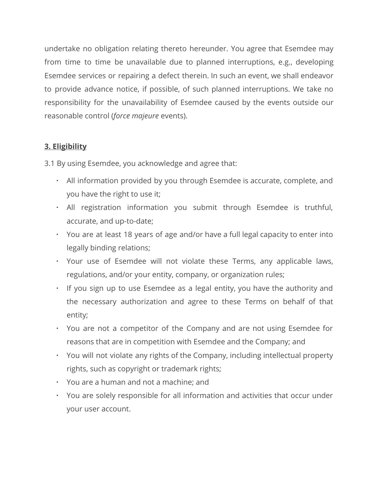undertake no obligation relating thereto hereunder. You agree that Esemdee may from time to time be unavailable due to planned interruptions, e.g., developing Esemdee services or repairing a defect therein. In such an event, we shall endeavor to provide advance notice, if possible, of such planned interruptions. We take no responsibility for the unavailability of Esemdee caused by the events outside our reasonable control (*force majeure* events).

# **3. Eligibility**

3.1 By using Esemdee, you acknowledge and agree that:

- All information provided by you through Esemdee is accurate, complete, and you have the right to use it;
- All registration information you submit through Esemdee is truthful, accurate, and up-to-date;
- You are at least 18 years of age and/or have a full legal capacity to enter into legally binding relations;
- Your use of Esemdee will not violate these Terms, any applicable laws, regulations, and/or your entity, company, or organization rules;
- If you sign up to use Esemdee as a legal entity, you have the authority and the necessary authorization and agree to these Terms on behalf of that entity;
- You are not a competitor of the Company and are not using Esemdee for reasons that are in competition with Esemdee and the Company; and
- You will not violate any rights of the Company, including intellectual property rights, such as copyright or trademark rights;
- You are a human and not a machine; and
- You are solely responsible for all information and activities that occur under your user account.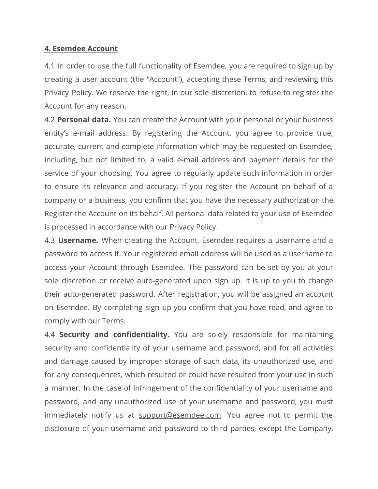#### **4. Esemdee Account**

4.1 In order to use the full functionality of Esemdee, you are required to sign up by creating a user account (the "Account"), accepting these Terms, and reviewing this Privacy Policy. We reserve the right, in our sole discretion, to refuse to register the Account for any reason.

4.2 **Personal data.** You can create the Account with your personal or your business entity's e-mail address. By registering the Account, you agree to provide true, accurate, current and complete information which may be requested on Esemdee, including, but not limited to, a valid e-mail address and payment details for the service of your choosing. You agree to regularly update such information in order to ensure its relevance and accuracy. If you register the Account on behalf of a company or a business, you confirm that you have the necessary authorization the Register the Account on its behalf. All personal data related to your use of Esemdee is processed in accordance with our Privacy Policy.

4.3 **Username.** When creating the Account, Esemdee requires a username and a password to access it. Your registered email address will be used as a username to access your Account through Esemdee. The password can be set by you at your sole discretion or receive auto-generated upon sign up. It is up to you to change their auto-generated password. After registration, you will be assigned an account on Esemdee. By completing sign up you confirm that you have read, and agree to comply with our Terms.

4.4 **Security and confidentiality.** You are solely responsible for maintaining security and confidentiality of your username and password, and for all activities and damage caused by improper storage of such data, its unauthorized use, and for any consequences, which resulted or could have resulted from your use in such a manner. In the case of infringement of the confidentiality of your username and password, and any unauthorized use of your username and password, you must immediately notify us at [support@esemdee.com](mailto:support@esemdee.com). You agree not to permit the disclosure of your username and password to third parties, except the Company,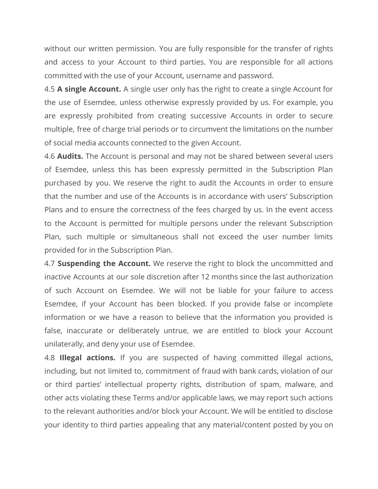without our written permission. You are fully responsible for the transfer of rights and access to your Account to third parties. You are responsible for all actions committed with the use of your Account, username and password.

4.5 **A single Account.** A single user only has the right to create a single Account for the use of Esemdee, unless otherwise expressly provided by us. For example, you are expressly prohibited from creating successive Accounts in order to secure multiple, free of charge trial periods or to circumvent the limitations on the number of social media accounts connected to the given Account.

4.6 **Audits.** The Account is personal and may not be shared between several users of Esemdee, unless this has been expressly permitted in the Subscription Plan purchased by you. We reserve the right to audit the Accounts in order to ensure that the number and use of the Accounts is in accordance with users' Subscription Plans and to ensure the correctness of the fees charged by us. In the event access to the Account is permitted for multiple persons under the relevant Subscription Plan, such multiple or simultaneous shall not exceed the user number limits provided for in the Subscription Plan.

4.7 **Suspending the Account.** We reserve the right to block the uncommitted and inactive Accounts at our sole discretion after 12 months since the last authorization of such Account on Esemdee. We will not be liable for your failure to access Esemdee, if your Account has been blocked. If you provide false or incomplete information or we have a reason to believe that the information you provided is false, inaccurate or deliberately untrue, we are entitled to block your Account unilaterally, and deny your use of Esemdee.

4.8 **Illegal actions.** If you are suspected of having committed illegal actions, including, but not limited to, commitment of fraud with bank cards, violation of our or third parties' intellectual property rights, distribution of spam, malware, and other acts violating these Terms and/or applicable laws, we may report such actions to the relevant authorities and/or block your Account. We will be entitled to disclose your identity to third parties appealing that any material/content posted by you on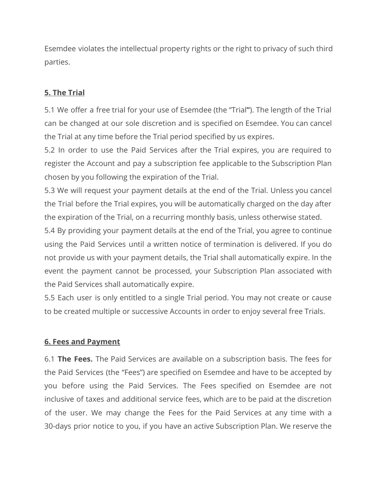Esemdee violates the intellectual property rights or the right to privacy of such third parties.

# **5. The Trial**

5.1 We offer a free trial for your use of Esemdee (the "Trial**"**). The length of the Trial can be changed at our sole discretion and is specified on Esemdee. You can cancel the Trial at any time before the Trial period specified by us expires.

5.2 In order to use the Paid Services after the Trial expires, you are required to register the Account and pay a subscription fee applicable to the Subscription Plan chosen by you following the expiration of the Trial.

5.3 We will request your payment details at the end of the Trial. Unless you cancel the Trial before the Trial expires, you will be automatically charged on the day after the expiration of the Trial, on a recurring monthly basis, unless otherwise stated.

5.4 By providing your payment details at the end of the Trial, you agree to continue using the Paid Services until a written notice of termination is delivered. If you do not provide us with your payment details, the Trial shall automatically expire. In the event the payment cannot be processed, your Subscription Plan associated with the Paid Services shall automatically expire.

5.5 Each user is only entitled to a single Trial period. You may not create or cause to be created multiple or successive Accounts in order to enjoy several free Trials.

## **6. Fees and Payment**

6.1 **The Fees.** The Paid Services are available on a subscription basis. The fees for the Paid Services (the "Fees") are specified on Esemdee and have to be accepted by you before using the Paid Services. The Fees specified on Esemdee are not inclusive of taxes and additional service fees, which are to be paid at the discretion of the user. We may change the Fees for the Paid Services at any time with a 30-days prior notice to you, if you have an active Subscription Plan. We reserve the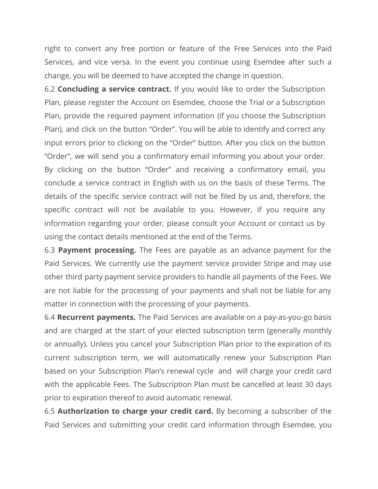right to convert any free portion or feature of the Free Services into the Paid Services, and vice versa. In the event you continue using Esemdee after such a change, you will be deemed to have accepted the change in question.

6.2 **Concluding a service contract.** If you would like to order the Subscription Plan, please register the Account on Esemdee, choose the Trial or a Subscription Plan, provide the required payment information (if you choose the Subscription Plan), and click on the button "Order". You will be able to identify and correct any input errors prior to clicking on the "Order" button. After you click on the button "Order", we will send you a confirmatory email informing you about your order. By clicking on the button "Order" and receiving a confirmatory email, you conclude a service contract in English with us on the basis of these Terms. The details of the specific service contract will not be filed by us and, therefore, the specific contract will not be available to you. However, if you require any information regarding your order, please consult your Account or contact us by using the contact details mentioned at the end of the Terms.

6.3 **Payment processing.** The Fees are payable as an advance payment for the Paid Services. We currently use the payment service provider Stripe and may use other third party payment service providers to handle all payments of the Fees. We are not liable for the processing of your payments and shall not be liable for any matter in connection with the processing of your payments.

6.4 **Recurrent payments.** The Paid Services are available on a pay-as-you-go basis and are charged at the start of your elected subscription term (generally monthly or annually). Unless you cancel your Subscription Plan prior to the expiration of its current subscription term, we will automatically renew your Subscription Plan based on your Subscription Plan's renewal cycle and will charge your credit card with the applicable Fees. The Subscription Plan must be cancelled at least 30 days prior to expiration thereof to avoid automatic renewal.

6.5 **Authorization to charge your credit card.** By becoming a subscriber of the Paid Services and submitting your credit card information through Esemdee, you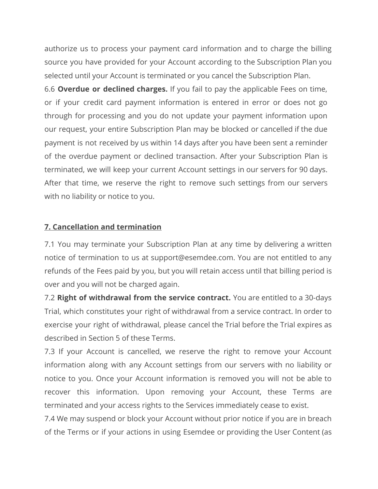authorize us to process your payment card information and to charge the billing source you have provided for your Account according to the Subscription Plan you selected until your Account is terminated or you cancel the Subscription Plan.

6.6 **Overdue or declined charges.** If you fail to pay the applicable Fees on time, or if your credit card payment information is entered in error or does not go through for processing and you do not update your payment information upon our request, your entire Subscription Plan may be blocked or cancelled if the due payment is not received by us within 14 days after you have been sent a reminder of the overdue payment or declined transaction. After your Subscription Plan is terminated, we will keep your current Account settings in our servers for 90 days. After that time, we reserve the right to remove such settings from our servers with no liability or notice to you.

## **7. Cancellation and termination**

7.1 You may terminate your Subscription Plan at any time by delivering a written notice of termination to us at support@esemdee.com. You are not entitled to any refunds of the Fees paid by you, but you will retain access until that billing period is over and you will not be charged again.

7.2 **Right of withdrawal from the service contract.** You are entitled to a 30-days Trial, which constitutes your right of withdrawal from a service contract. In order to exercise your right of withdrawal, please cancel the Trial before the Trial expires as described in Section 5 of these Terms.

7.3 If your Account is cancelled, we reserve the right to remove your Account information along with any Account settings from our servers with no liability or notice to you. Once your Account information is removed you will not be able to recover this information. Upon removing your Account, these Terms are terminated and your access rights to the Services immediately cease to exist.

7.4 We may suspend or block your Account without prior notice if you are in breach of the Terms or if your actions in using Esemdee or providing the User Content (as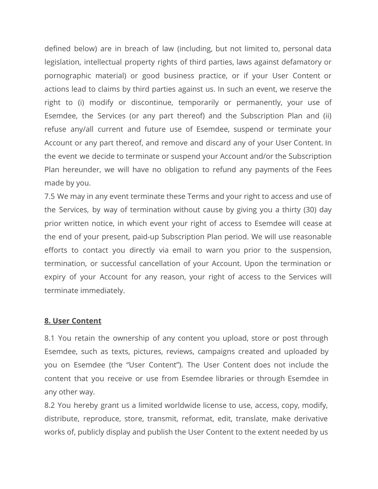defined below) are in breach of law (including, but not limited to, personal data legislation, intellectual property rights of third parties, laws against defamatory or pornographic material) or good business practice, or if your User Content or actions lead to claims by third parties against us. In such an event, we reserve the right to (i) modify or discontinue, temporarily or permanently, your use of Esemdee, the Services (or any part thereof) and the Subscription Plan and (ii) refuse any/all current and future use of Esemdee, suspend or terminate your Account or any part thereof, and remove and discard any of your User Content. In the event we decide to terminate or suspend your Account and/or the Subscription Plan hereunder, we will have no obligation to refund any payments of the Fees made by you.

7.5 We may in any event terminate these Terms and your right to access and use of the Services, by way of termination without cause by giving you a thirty (30) day prior written notice, in which event your right of access to Esemdee will cease at the end of your present, paid-up Subscription Plan period. We will use reasonable efforts to contact you directly via email to warn you prior to the suspension, termination, or successful cancellation of your Account. Upon the termination or expiry of your Account for any reason, your right of access to the Services will terminate immediately.

#### **8. User Content**

8.1 You retain the ownership of any content you upload, store or post through Esemdee, such as texts, pictures, reviews, campaigns created and uploaded by you on Esemdee (the "User Content"). The User Content does not include the content that you receive or use from Esemdee libraries or through Esemdee in any other way.

8.2 You hereby grant us a limited worldwide license to use, access, copy, modify, distribute, reproduce, store, transmit, reformat, edit, translate, make derivative works of, publicly display and publish the User Content to the extent needed by us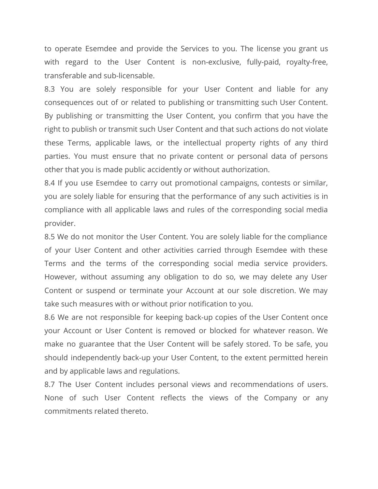to operate Esemdee and provide the Services to you. The license you grant us with regard to the User Content is non-exclusive, fully-paid, royalty-free, transferable and sub-licensable.

8.3 You are solely responsible for your User Content and liable for any consequences out of or related to publishing or transmitting such User Content. By publishing or transmitting the User Content, you confirm that you have the right to publish or transmit such User Content and that such actions do not violate these Terms, applicable laws, or the intellectual property rights of any third parties. You must ensure that no private content or personal data of persons other that you is made public accidently or without authorization.

8.4 If you use Esemdee to carry out promotional campaigns, contests or similar, you are solely liable for ensuring that the performance of any such activities is in compliance with all applicable laws and rules of the corresponding social media provider.

8.5 We do not monitor the User Content. You are solely liable for the compliance of your User Content and other activities carried through Esemdee with these Terms and the terms of the corresponding social media service providers. However, without assuming any obligation to do so, we may delete any User Content or suspend or terminate your Account at our sole discretion. We may take such measures with or without prior notification to you.

8.6 We are not responsible for keeping back-up copies of the User Content once your Account or User Content is removed or blocked for whatever reason. We make no guarantee that the User Content will be safely stored. To be safe, you should independently back-up your User Content, to the extent permitted herein and by applicable laws and regulations.

8.7 The User Content includes personal views and recommendations of users. None of such User Content reflects the views of the Company or any commitments related thereto.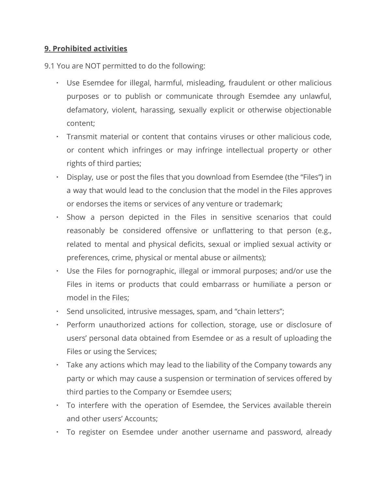## **9. Prohibited activities**

9.1 You are NOT permitted to do the following:

- Use Esemdee for illegal, harmful, misleading, fraudulent or other malicious purposes or to publish or communicate through Esemdee any unlawful, defamatory, violent, harassing, sexually explicit or otherwise objectionable content;
- Transmit material or content that contains viruses or other malicious code, or content which infringes or may infringe intellectual property or other rights of third parties;
- Display, use or post the files that you download from Esemdee (the "Files") in a way that would lead to the conclusion that the model in the Files approves or endorses the items or services of any venture or trademark;
- Show a person depicted in the Files in sensitive scenarios that could reasonably be considered offensive or unflattering to that person (e.g., related to mental and physical deficits, sexual or implied sexual activity or preferences, crime, physical or mental abuse or ailments);
- Use the Files for pornographic, illegal or immoral purposes; and/or use the Files in items or products that could embarrass or humiliate a person or model in the Files;
- Send unsolicited, intrusive messages, spam, and "chain letters";
- Perform unauthorized actions for collection, storage, use or disclosure of users' personal data obtained from Esemdee or as a result of uploading the Files or using the Services;
- Take any actions which may lead to the liability of the Company towards any party or which may cause a suspension or termination of services offered by third parties to the Company or Esemdee users;
- To interfere with the operation of Esemdee, the Services available therein and other users' Accounts;
- To register on Esemdee under another username and password, already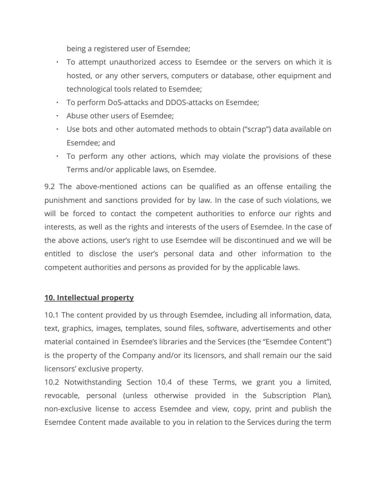being a registered user of Esemdee;

- To attempt unauthorized access to Esemdee or the servers on which it is hosted, or any other servers, computers or database, other equipment and technological tools related to Esemdee;
- To perform DoS-attacks and DDOS-attacks on Esemdee;
- Abuse other users of Esemdee;
- Use bots and other automated methods to obtain ("scrap") data available on Esemdee; and
- To perform any other actions, which may violate the provisions of these Terms and/or applicable laws, on Esemdee.

9.2 The above-mentioned actions can be qualified as an offense entailing the punishment and sanctions provided for by law. In the case of such violations, we will be forced to contact the competent authorities to enforce our rights and interests, as well as the rights and interests of the users of Esemdee. In the case of the above actions, user's right to use Esemdee will be discontinued and we will be entitled to disclose the user's personal data and other information to the competent authorities and persons as provided for by the applicable laws.

## **10. Intellectual property**

10.1 The content provided by us through Esemdee, including all information, data, text, graphics, images, templates, sound files, software, advertisements and other material contained in Esemdee's libraries and the Services (the "Esemdee Content") is the property of the Company and/or its licensors, and shall remain our the said licensors' exclusive property.

10.2 Notwithstanding Section 10.4 of these Terms, we grant you a limited, revocable, personal (unless otherwise provided in the Subscription Plan), non-exclusive license to access Esemdee and view, copy, print and publish the Esemdee Content made available to you in relation to the Services during the term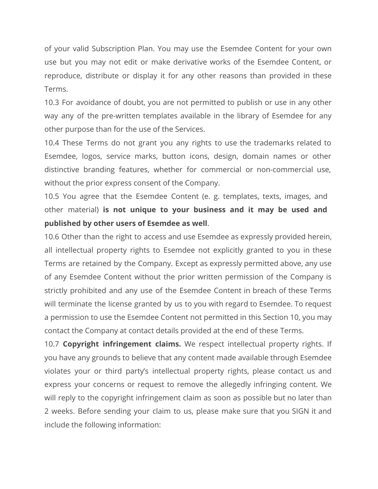of your valid Subscription Plan. You may use the Esemdee Content for your own use but you may not edit or make derivative works of the Esemdee Content, or reproduce, distribute or display it for any other reasons than provided in these Terms.

10.3 For avoidance of doubt, you are not permitted to publish or use in any other way any of the pre-written templates available in the library of Esemdee for any other purpose than for the use of the Services.

10.4 These Terms do not grant you any rights to use the trademarks related to Esemdee, logos, service marks, button icons, design, domain names or other distinctive branding features, whether for commercial or non-commercial use, without the prior express consent of the Company.

10.5 You agree that the Esemdee Content (e. g. templates, texts, images, and other material) **is not unique to your business and it may be used and published by other users of Esemdee as well**.

10.6 Other than the right to access and use Esemdee as expressly provided herein, all intellectual property rights to Esemdee not explicitly granted to you in these Terms are retained by the Company. Except as expressly permitted above, any use of any Esemdee Content without the prior written permission of the Company is strictly prohibited and any use of the Esemdee Content in breach of these Terms will terminate the license granted by us to you with regard to Esemdee. To request a permission to use the Esemdee Content not permitted in this Section 10, you may contact the Company at contact details provided at the end of these Terms.

10.7 **Copyright infringement claims.** We respect intellectual property rights. If you have any grounds to believe that any content made available through Esemdee violates your or third party's intellectual property rights, please contact us and express your concerns or request to remove the allegedly infringing content. We will reply to the copyright infringement claim as soon as possible but no later than 2 weeks. Before sending your claim to us, please make sure that you SIGN it and include the following information: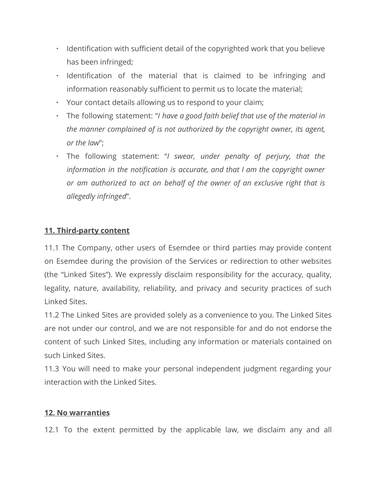- Identification with sufficient detail of the copyrighted work that you believe has been infringed;
- Identification of the material that is claimed to be infringing and information reasonably sufficient to permit us to locate the material;
- Your contact details allowing us to respond to your claim;
- The following statement: "*I have a good faith belief that use of the material in the manner complained of is not authorized by the copyright owner, its agent, or the law*";
- The following statement: "*I swear, under penalty of perjury, that the information in the notification is accurate, and that I am the copyright owner or am authorized to act on behalf of the owner of an exclusive right that is allegedly infringed*".

# **11. Third-party content**

11.1 The Company, other users of Esemdee or third parties may provide content on Esemdee during the provision of the Services or redirection to other websites (the "Linked Sites"). We expressly disclaim responsibility for the accuracy, quality, legality, nature, availability, reliability, and privacy and security practices of such Linked Sites.

11.2 The Linked Sites are provided solely as a convenience to you. The Linked Sites are not under our control, and we are not responsible for and do not endorse the content of such Linked Sites, including any information or materials contained on such Linked Sites.

11.3 You will need to make your personal independent judgment regarding your interaction with the Linked Sites.

## **12. No warranties**

12.1 To the extent permitted by the applicable law, we disclaim any and all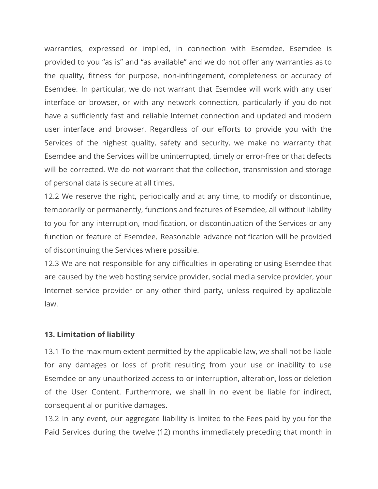warranties, expressed or implied, in connection with Esemdee. Esemdee is provided to you "as is" and "as available" and we do not offer any warranties as to the quality, fitness for purpose, non-infringement, completeness or accuracy of Esemdee. In particular, we do not warrant that Esemdee will work with any user interface or browser, or with any network connection, particularly if you do not have a sufficiently fast and reliable Internet connection and updated and modern user interface and browser. Regardless of our efforts to provide you with the Services of the highest quality, safety and security, we make no warranty that Esemdee and the Services will be uninterrupted, timely or error-free or that defects will be corrected. We do not warrant that the collection, transmission and storage of personal data is secure at all times.

12.2 We reserve the right, periodically and at any time, to modify or discontinue, temporarily or permanently, functions and features of Esemdee, all without liability to you for any interruption, modification, or discontinuation of the Services or any function or feature of Esemdee. Reasonable advance notification will be provided of discontinuing the Services where possible.

12.3 We are not responsible for any difficulties in operating or using Esemdee that are caused by the web hosting service provider, social media service provider, your Internet service provider or any other third party, unless required by applicable law.

#### **13. Limitation of liability**

13.1 To the maximum extent permitted by the applicable law, we shall not be liable for any damages or loss of profit resulting from your use or inability to use Esemdee or any unauthorized access to or interruption, alteration, loss or deletion of the User Content. Furthermore, we shall in no event be liable for indirect, consequential or punitive damages.

13.2 In any event, our aggregate liability is limited to the Fees paid by you for the Paid Services during the twelve (12) months immediately preceding that month in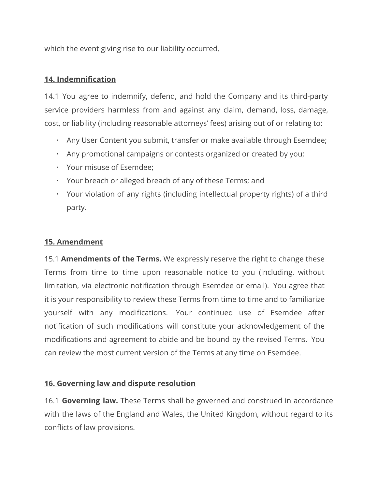which the event giving rise to our liability occurred.

# **14. Indemnification**

14.1 You agree to indemnify, defend, and hold the Company and its third-party service providers harmless from and against any claim, demand, loss, damage, cost, or liability (including reasonable attorneys' fees) arising out of or relating to:

- Any User Content you submit, transfer or make available through Esemdee;
- Any promotional campaigns or contests organized or created by you;
- Your misuse of Esemdee;
- Your breach or alleged breach of any of these Terms; and
- Your violation of any rights (including intellectual property rights) of a third party.

# **15. Amendment**

15.1 **Amendments of the Terms.** We expressly reserve the right to change these Terms from time to time upon reasonable notice to you (including, without limitation, via electronic notification through Esemdee or email). You agree that it is your responsibility to review these Terms from time to time and to familiarize yourself with any modifications. Your continued use of Esemdee after notification of such modifications will constitute your acknowledgement of the modifications and agreement to abide and be bound by the revised Terms. You can review the most current version of the Terms at any time on Esemdee.

## **16. Governing law and dispute resolution**

16.1 **Governing law.** These Terms shall be governed and construed in accordance with the laws of the England and Wales, the United Kingdom, without regard to its conflicts of law provisions.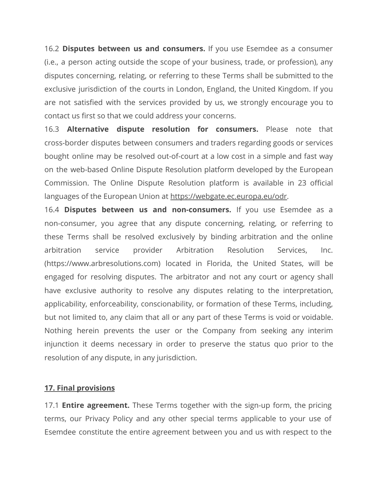16.2 **Disputes between us and consumers.** If you use Esemdee as a consumer (i.e., a person acting outside the scope of your business, trade, or profession), any disputes concerning, relating, or referring to these Terms shall be submitted to the exclusive jurisdiction of the courts in London, England, the United Kingdom. If you are not satisfied with the services provided by us, we strongly encourage you to contact us first so that we could address your concerns.

16.3 **Alternative dispute resolution for consumers.** Please note that cross-border disputes between consumers and traders regarding goods or services bought online may be resolved out-of-court at a low cost in a simple and fast way on the web-based Online Dispute Resolution platform developed by the European Commission. The Online Dispute Resolution platform is available in 23 official languages of the European Union at [https://webgate.ec.europa.eu/odr.](https://webgate.ec.europa.eu/odr)

16.4 **Disputes between us and non-consumers.** If you use Esemdee as a non-consumer, you agree that any dispute concerning, relating, or referring to these Terms shall be resolved exclusively by binding arbitration and the online arbitration service provider Arbitration Resolution Services, Inc. (https://www.arbresolutions.com) located in Florida, the United States, will be engaged for resolving disputes. The arbitrator and not any court or agency shall have exclusive authority to resolve any disputes relating to the interpretation, applicability, enforceability, conscionability, or formation of these Terms, including, but not limited to, any claim that all or any part of these Terms is void or voidable. Nothing herein prevents the user or the Company from seeking any interim injunction it deems necessary in order to preserve the status quo prior to the resolution of any dispute, in any jurisdiction.

## **17. Final provisions**

17.1 **Entire agreement.** These Terms together with the sign-up form, the pricing terms, our Privacy Policy and any other special terms applicable to your use of Esemdee constitute the entire agreement between you and us with respect to the